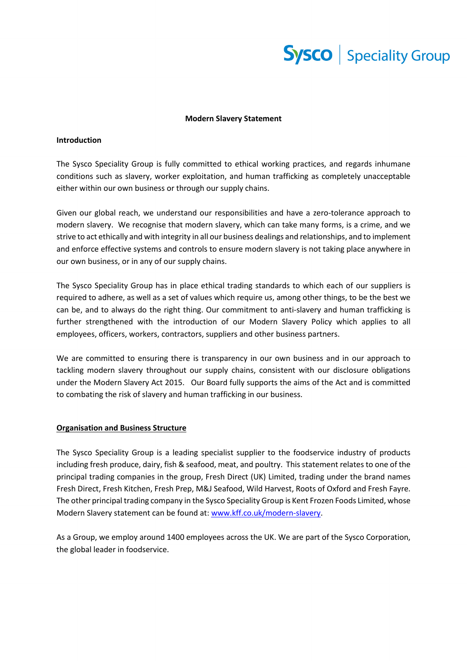

### **Modern Slavery Statement**

# **Introduction**

The Sysco Speciality Group is fully committed to ethical working practices, and regards inhumane conditions such as slavery, worker exploitation, and human trafficking as completely unacceptable either within our own business or through our supply chains.

Given our global reach, we understand our responsibilities and have a zero-tolerance approach to modern slavery. We recognise that modern slavery, which can take many forms, is a crime, and we strive to act ethically and with integrity in all our business dealings and relationships, and to implement and enforce effective systems and controls to ensure modern slavery is not taking place anywhere in our own business, or in any of our supply chains.

The Sysco Speciality Group has in place ethical trading standards to which each of our suppliers is required to adhere, as well as a set of values which require us, among other things, to be the best we can be, and to always do the right thing. Our commitment to anti-slavery and human trafficking is further strengthened with the introduction of our Modern Slavery Policy which applies to all employees, officers, workers, contractors, suppliers and other business partners.

We are committed to ensuring there is transparency in our own business and in our approach to tackling modern slavery throughout our supply chains, consistent with our disclosure obligations under the Modern Slavery Act 2015. Our Board fully supports the aims of the Act and is committed to combating the risk of slavery and human trafficking in our business.

# **Organisation and Business Structure**

The Sysco Speciality Group is a leading specialist supplier to the foodservice industry of products including fresh produce, dairy, fish & seafood, meat, and poultry. This statement relates to one of the principal trading companies in the group, Fresh Direct (UK) Limited, trading under the brand names Fresh Direct, Fresh Kitchen, Fresh Prep, M&J Seafood, Wild Harvest, Roots of Oxford and Fresh Fayre. The other principal trading company in the Sysco Speciality Group is Kent Frozen Foods Limited, whose Modern Slavery statement can be found at: [www.kff.co.uk/modern-slavery.](http://www.kff.co.uk/modern-slavery)

As a Group, we employ around 1400 employees across the UK. We are part of the Sysco Corporation, the global leader in foodservice.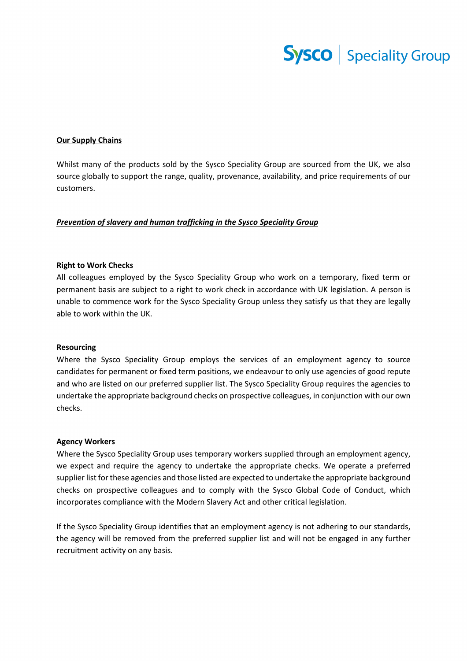

# **Our Supply Chains**

Whilst many of the products sold by the Sysco Speciality Group are sourced from the UK, we also source globally to support the range, quality, provenance, availability, and price requirements of our customers.

### *Prevention of slavery and human trafficking in the Sysco Speciality Group*

### **Right to Work Checks**

All colleagues employed by the Sysco Speciality Group who work on a temporary, fixed term or permanent basis are subject to a right to work check in accordance with UK legislation. A person is unable to commence work for the Sysco Speciality Group unless they satisfy us that they are legally able to work within the UK.

#### **Resourcing**

Where the Sysco Speciality Group employs the services of an employment agency to source candidates for permanent or fixed term positions, we endeavour to only use agencies of good repute and who are listed on our preferred supplier list. The Sysco Speciality Group requires the agencies to undertake the appropriate background checks on prospective colleagues, in conjunction with our own checks.

# **Agency Workers**

Where the Sysco Speciality Group uses temporary workers supplied through an employment agency, we expect and require the agency to undertake the appropriate checks. We operate a preferred supplier list for these agencies and those listed are expected to undertake the appropriate background checks on prospective colleagues and to comply with the Sysco Global Code of Conduct, which incorporates compliance with the Modern Slavery Act and other critical legislation.

If the Sysco Speciality Group identifies that an employment agency is not adhering to our standards, the agency will be removed from the preferred supplier list and will not be engaged in any further recruitment activity on any basis.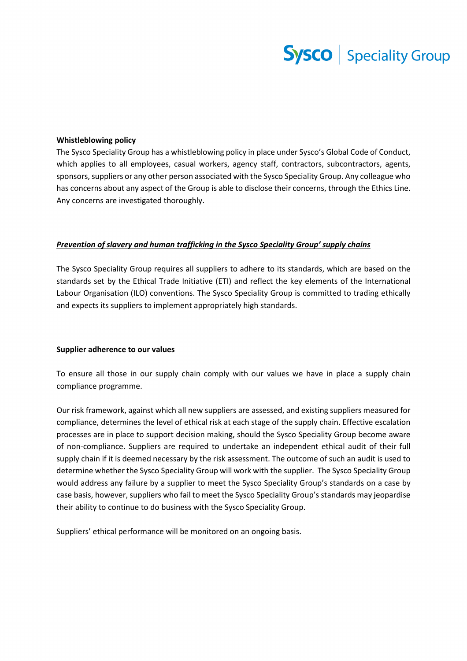# **Sysco** | Speciality Group

# **Whistleblowing policy**

The Sysco Speciality Group has a whistleblowing policy in place under Sysco's Global Code of Conduct, which applies to all employees, casual workers, agency staff, contractors, subcontractors, agents, sponsors, suppliers or any other person associated with the Sysco Speciality Group. Any colleague who has concerns about any aspect of the Group is able to disclose their concerns, through the Ethics Line. Any concerns are investigated thoroughly.

# *Prevention of slavery and human trafficking in the Sysco Speciality Group' supply chains*

The Sysco Speciality Group requires all suppliers to adhere to its standards, which are based on the standards set by the Ethical Trade Initiative (ETI) and reflect the key elements of the International Labour Organisation (ILO) conventions. The Sysco Speciality Group is committed to trading ethically and expects its suppliers to implement appropriately high standards.

### **Supplier adherence to our values**

To ensure all those in our supply chain comply with our values we have in place a supply chain compliance programme.

Our risk framework, against which all new suppliers are assessed, and existing suppliers measured for compliance, determines the level of ethical risk at each stage of the supply chain. Effective escalation processes are in place to support decision making, should the Sysco Speciality Group become aware of non-compliance. Suppliers are required to undertake an independent ethical audit of their full supply chain if it is deemed necessary by the risk assessment. The outcome of such an audit is used to determine whether the Sysco Speciality Group will work with the supplier. The Sysco Speciality Group would address any failure by a supplier to meet the Sysco Speciality Group's standards on a case by case basis, however, suppliers who fail to meet the Sysco Speciality Group's standards may jeopardise their ability to continue to do business with the Sysco Speciality Group.

Suppliers' ethical performance will be monitored on an ongoing basis.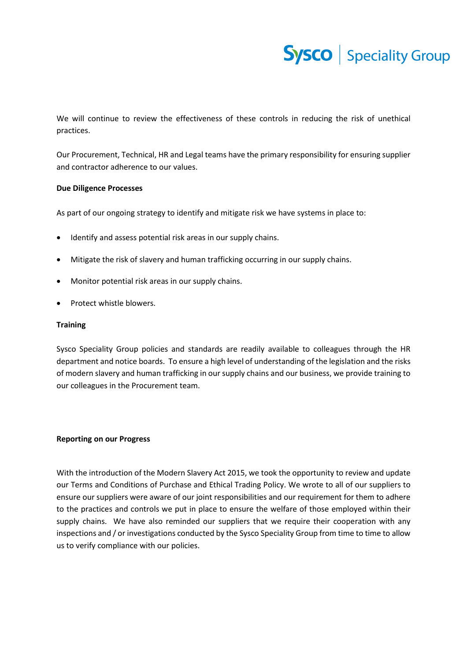

We will continue to review the effectiveness of these controls in reducing the risk of unethical practices.

Our Procurement, Technical, HR and Legal teams have the primary responsibility for ensuring supplier and contractor adherence to our values.

# **Due Diligence Processes**

As part of our ongoing strategy to identify and mitigate risk we have systems in place to:

- Identify and assess potential risk areas in our supply chains.
- Mitigate the risk of slavery and human trafficking occurring in our supply chains.
- Monitor potential risk areas in our supply chains.
- Protect whistle blowers.

# **Training**

Sysco Speciality Group policies and standards are readily available to colleagues through the HR department and notice boards. To ensure a high level of understanding of the legislation and the risks of modern slavery and human trafficking in our supply chains and our business, we provide training to our colleagues in the Procurement team.

# **Reporting on our Progress**

With the introduction of the Modern Slavery Act 2015, we took the opportunity to review and update our Terms and Conditions of Purchase and Ethical Trading Policy. We wrote to all of our suppliers to ensure our suppliers were aware of our joint responsibilities and our requirement for them to adhere to the practices and controls we put in place to ensure the welfare of those employed within their supply chains. We have also reminded our suppliers that we require their cooperation with any inspections and / or investigations conducted by the Sysco Speciality Group from time to time to allow us to verify compliance with our policies.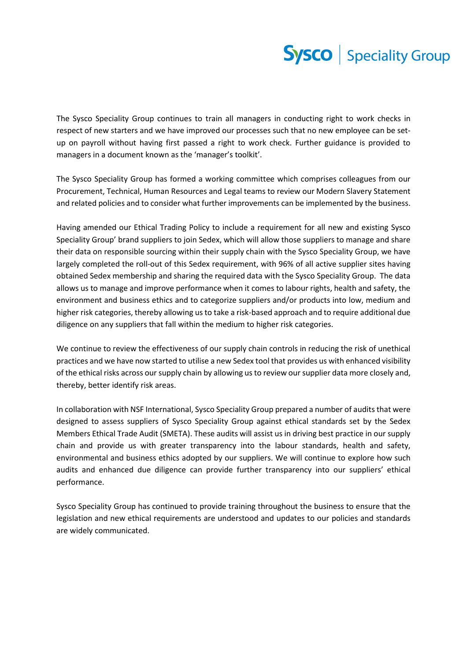

The Sysco Speciality Group continues to train all managers in conducting right to work checks in respect of new starters and we have improved our processes such that no new employee can be setup on payroll without having first passed a right to work check. Further guidance is provided to managers in a document known as the 'manager's toolkit'.

The Sysco Speciality Group has formed a working committee which comprises colleagues from our Procurement, Technical, Human Resources and Legal teams to review our Modern Slavery Statement and related policies and to consider what further improvements can be implemented by the business.

Having amended our Ethical Trading Policy to include a requirement for all new and existing Sysco Speciality Group' brand suppliers to join Sedex, which will allow those suppliers to manage and share their data on responsible sourcing within their supply chain with the Sysco Speciality Group, we have largely completed the roll-out of this Sedex requirement, with 96% of all active supplier sites having obtained Sedex membership and sharing the required data with the Sysco Speciality Group. The data allows us to manage and improve performance when it comes to labour rights, health and safety, the environment and business ethics and to categorize suppliers and/or products into low, medium and higher risk categories, thereby allowing us to take a risk-based approach and to require additional due diligence on any suppliers that fall within the medium to higher risk categories.

We continue to review the effectiveness of our supply chain controls in reducing the risk of unethical practices and we have now started to utilise a new Sedex tool that provides us with enhanced visibility of the ethical risks across our supply chain by allowing us to review our supplier data more closely and, thereby, better identify risk areas.

In collaboration with NSF International, Sysco Speciality Group prepared a number of audits that were designed to assess suppliers of Sysco Speciality Group against ethical standards set by the Sedex Members Ethical Trade Audit (SMETA). These audits will assist us in driving best practice in our supply chain and provide us with greater transparency into the labour standards, health and safety, environmental and business ethics adopted by our suppliers. We will continue to explore how such audits and enhanced due diligence can provide further transparency into our suppliers' ethical performance.

Sysco Speciality Group has continued to provide training throughout the business to ensure that the legislation and new ethical requirements are understood and updates to our policies and standards are widely communicated.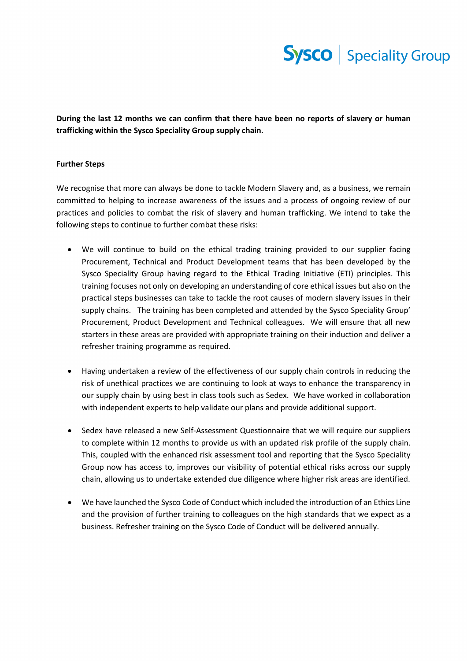

**During the last 12 months we can confirm that there have been no reports of slavery or human trafficking within the Sysco Speciality Group supply chain.** 

# **Further Steps**

We recognise that more can always be done to tackle Modern Slavery and, as a business, we remain committed to helping to increase awareness of the issues and a process of ongoing review of our practices and policies to combat the risk of slavery and human trafficking. We intend to take the following steps to continue to further combat these risks:

- We will continue to build on the ethical trading training provided to our supplier facing Procurement, Technical and Product Development teams that has been developed by the Sysco Speciality Group having regard to the Ethical Trading Initiative (ETI) principles. This training focuses not only on developing an understanding of core ethical issues but also on the practical steps businesses can take to tackle the root causes of modern slavery issues in their supply chains. The training has been completed and attended by the Sysco Speciality Group' Procurement, Product Development and Technical colleagues. We will ensure that all new starters in these areas are provided with appropriate training on their induction and deliver a refresher training programme as required.
- Having undertaken a review of the effectiveness of our supply chain controls in reducing the risk of unethical practices we are continuing to look at ways to enhance the transparency in our supply chain by using best in class tools such as Sedex. We have worked in collaboration with independent experts to help validate our plans and provide additional support.
- Sedex have released a new Self-Assessment Questionnaire that we will require our suppliers to complete within 12 months to provide us with an updated risk profile of the supply chain. This, coupled with the enhanced risk assessment tool and reporting that the Sysco Speciality Group now has access to, improves our visibility of potential ethical risks across our supply chain, allowing us to undertake extended due diligence where higher risk areas are identified.
- We have launched the Sysco Code of Conduct which included the introduction of an Ethics Line and the provision of further training to colleagues on the high standards that we expect as a business. Refresher training on the Sysco Code of Conduct will be delivered annually.